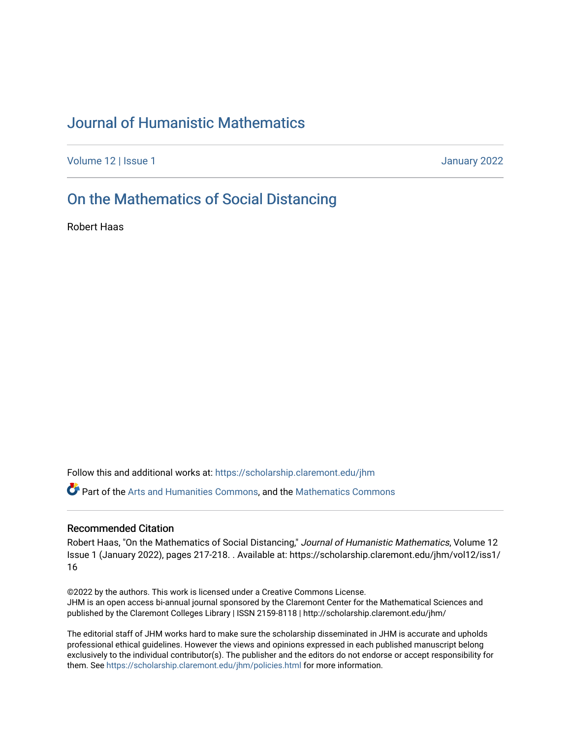# [Journal of Humanistic Mathematics](https://scholarship.claremont.edu/jhm)

[Volume 12](https://scholarship.claremont.edu/jhm/vol12) | Issue 1 January 2022

# [On the Mathematics of Social Distancing](https://scholarship.claremont.edu/jhm/vol12/iss1/16)

Robert Haas

Follow this and additional works at: [https://scholarship.claremont.edu/jhm](https://scholarship.claremont.edu/jhm?utm_source=scholarship.claremont.edu%2Fjhm%2Fvol12%2Fiss1%2F16&utm_medium=PDF&utm_campaign=PDFCoverPages)

Part of the [Arts and Humanities Commons,](http://network.bepress.com/hgg/discipline/438?utm_source=scholarship.claremont.edu%2Fjhm%2Fvol12%2Fiss1%2F16&utm_medium=PDF&utm_campaign=PDFCoverPages) and the [Mathematics Commons](http://network.bepress.com/hgg/discipline/174?utm_source=scholarship.claremont.edu%2Fjhm%2Fvol12%2Fiss1%2F16&utm_medium=PDF&utm_campaign=PDFCoverPages) 

### Recommended Citation

Robert Haas, "On the Mathematics of Social Distancing," Journal of Humanistic Mathematics, Volume 12 Issue 1 (January 2022), pages 217-218. . Available at: https://scholarship.claremont.edu/jhm/vol12/iss1/ 16

©2022 by the authors. This work is licensed under a Creative Commons License. JHM is an open access bi-annual journal sponsored by the Claremont Center for the Mathematical Sciences and published by the Claremont Colleges Library | ISSN 2159-8118 | http://scholarship.claremont.edu/jhm/

The editorial staff of JHM works hard to make sure the scholarship disseminated in JHM is accurate and upholds professional ethical guidelines. However the views and opinions expressed in each published manuscript belong exclusively to the individual contributor(s). The publisher and the editors do not endorse or accept responsibility for them. See<https://scholarship.claremont.edu/jhm/policies.html> for more information.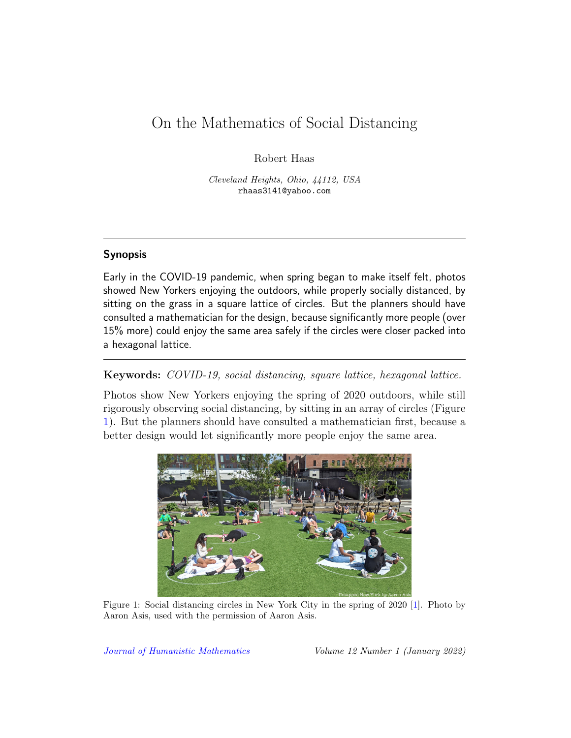# On the Mathematics of Social Distancing

Robert Haas

Cleveland Heights, Ohio, 44112, USA rhaas3141@yahoo.com

## Synopsis

Early in the COVID-19 pandemic, when spring began to make itself felt, photos showed New Yorkers enjoying the outdoors, while properly socially distanced, by sitting on the grass in a square lattice of circles. But the planners should have consulted a mathematician for the design, because significantly more people (over 15% more) could enjoy the same area safely if the circles were closer packed into a hexagonal lattice.

### Keywords: COVID-19, social distancing, square lattice, hexagonal lattice.

Photos show New Yorkers enjoying the spring of 2020 outdoors, while still rigorously observing social distancing, by sitting in an array of circles (Figure [1\)](#page-1-0). But the planners should have consulted a mathematician first, because a better design would let significantly more people enjoy the same area.



Figure 1: Social distancing circles in New York City in the spring of 2020 [\[1\]](#page-2-0). Photo by Aaron Asis, used with the permission of Aaron Asis.

<span id="page-1-0"></span>[Journal of Humanistic Mathematics](http://scholarship.claremont.edu/jhm/) Volume 12 Number 1 (January 2022)